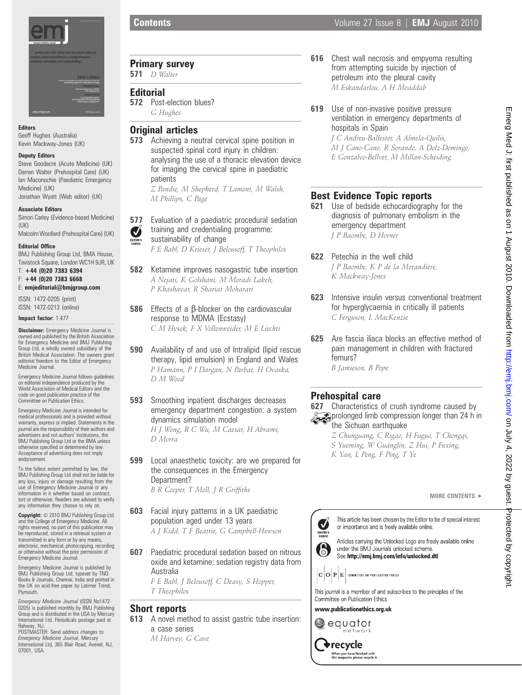

### Editors

Geoff Hughes (Australia) Kevin Mackway-Jones (UK)

#### Deputy Editors

Steve Goodacre (Acute Medicine) (UK) Darren Walter (Prehospital Care) (UK) Ian Maconochie (Paediatric Emergency Medicine) (UK)

Jonathan Wyatt (Web editor) (UK)

#### Associate Editors

Simon Carley (Evidence-based Medicine)  $(IIK)$ 

Malcolm Woollard (Prehospital Care) (UK)

### Editorial Office

BMJ Publishing Group Ltd, BMA House, Tavistock Square, London WC1H 9JR, UK

 $T: +44$  (0)20 7383 6394 F: +44 (0)20 7383 6668

E: emjeditorial@bmjgroup.com

ISSN: 1472-0205 (print) ISSN: 1472-0213 (online)

#### Impact factor: 1.477

**Disclaimer:** Emergency Medicine Journal is owned and published by the British Association for Emergency Medicine and BMJ Publishing Group Ltd, a wholly owned subsidiary of the British Medical Association. The owners grant editorial freedom to the Editor of Emergency Medicine Journal.

Emergency Medicine Journal follows guidelines on editorial independence produced by the World Association of Medical Editors and the code on good publication practice of the Committee on Publication Ethics.

Emergency Medicine Journal is intended for medical professionals and is provided without warranty, express or implied. Statements in the journal are the responsibility of their authors and advertisers and not authors' institutions, the BMJ Publishing Group Ltd or the BMA unless otherwise specified or determined by law. Acceptance of advertising does not imply endorsement.

To the fullest extent permitted by law, the BMJ Publishing Group Ltd shall not be liable for any loss, injury or damage resulting from the use of Emergency Medicine Journal or any information in it whether based on contract, tort or otherwise. Readers are advised to verify any information they choose to rely on.

Copyright: © 2010 BMJ Publishing Group Ltd and the College of Emergency Medicine. All rights reserved; no part of this publication may be reproduced, stored in a retrieval system or transmitted in any form or by any means, electronic, mechanical, photocopying, recording or otherwise without the prior permission of Emergency Medicine Journal.

Emergency Medicine Journal is published by BMJ Publishing Group Ltd, typeset by TNQ Books & Journals, Chennai, India and printed in the UK on acid-free paper by Latimer Trend, Plymouth.

*Emergency Medicine Journal (I*SSN No1472-<br>0205) is published monthly by BMJ Publishing<br>Group and is distributed in the USA by Mercury International Ltd. Periodicals postage paid at Rahway, NJ

POSTMASTER: Send address changes to Emergency Medicine Journal, Mercury International Ltd, 365 Blair Road, Avenel, NJ, 07001, USA.

Primary survey

**571** *D* Walter

### **Editorial**

**572** Post-election blues? G Hughes

### Original articles

**573** Achieving a neutral cervical spine position in suspected spinal cord injury in children: analysing the use of a thoracic elevation device for imaging the cervical spine in paediatric patients Z Pandie, M Shepherd, T Lamont, M Walsh,

M Phillips, C Page

- **577** Evaluation of a paediatric procedural sedation
- training and credentialing programme:  $\boldsymbol{J}$ sustainability of change

F E Babl, D Krieser, J Belousoff, T Theophilos

- **582** Ketamine improves nasogastric tube insertion A Nejati, K Golshani, M Moradi Lakeh, P Khashayar, R Shariat Moharari
- **586** Effects of a  $\beta$ -blocker on the cardiovascular response to MDMA (Ecstasy) C M Hysek, F X Vollenweider, M E Liechti
- 590 Availability of and use of Intralipid (lipid rescue therapy, lipid emulsion) in England and Wales P Hamann, P I Dargan, N Parbat, H Ovaska, D M Wood
- **593** Smoothing inpatient discharges decreases emergency department congestion: a system dynamics simulation model

H J Wong, R C Wu, M Caesar, H Abrams, D Morra

- **599** Local anaesthetic toxicity: are we prepared for the consequences in the Emergency Department? B R Cooper, T Moll, J R Griffiths
- **603** Facial injury patterns in a UK paediatric population aged under 13 years A J Kidd, T F Beattie, G Campbell-Hewson
- **607** Paediatric procedural sedation based on nitrous oxide and ketamine: sedation registry data from Australia

F E Babl, J Belousoff, C Deasy, S Hopper, T Theophilos

### Short reports

- **613** A novel method to assist gastric tube insertion: a case series
	- M Harvey, G Cave
- **616** Chest wall necrosis and empyema resulting from attempting suicide by injection of petroleum into the pleural cavity M Eskandarlou, A H Moaddab
- **619** Use of non-invasive positive pressure ventilation in emergency departments of hospitals in Spain

J C Andreu-Ballester, A Almela-Quilis, M J Cano-Cano, R Sorando, A Dolz-Domingo, E Gonzalvo-Bellver, M Millan-Scheiding

## Best Evidence Topic reports

- **621** Use of bedside echocardiography for the diagnosis of pulmonary embolism in the emergency department J P Baombe, D Horner
- 622 Petechia in the well child J P Baombe, K P de la Morandiere, K Mackway-Jones
- 623 Intensive insulin versus conventional treatment for hyperglycaemia in critically ill patients C Ferguson, L MacKenzie
- 625 Are fascia iliaca blocks an effective method of pain management in children with fractured femurs?

### B Jamieson, B Pope

### Prehospital care

**627** Characteristics of crush syndrome caused by prolonged limb compression longer than 24 h in the Sichuan earthquake

- Z Chunguang, C Rigao, H Fuguo, T Chongqi,
- S Yueming, W Guanglin, Z Hui, P Fuxing,
- K Yan, L Peng, F Ping, T Ye

This article has been chosen by the Editor to be of special interest or importance and is freely available online.

Articles carrying the Unlocked Logo are freely available online 6 under the BMJ Journals unlocked scheme. See http://emj.bmj.com/info/unlocked.dtl



This journal is a member of and subscribes to the principles of the Committee on Publication Ethics

www.publicationethics.org.uk



 $\blacktriangledown$ 

**EDITOR**<br>Choice

 $\blacklozenge$ recycle .<br>When you have finished with<br>this magazine please recycle it